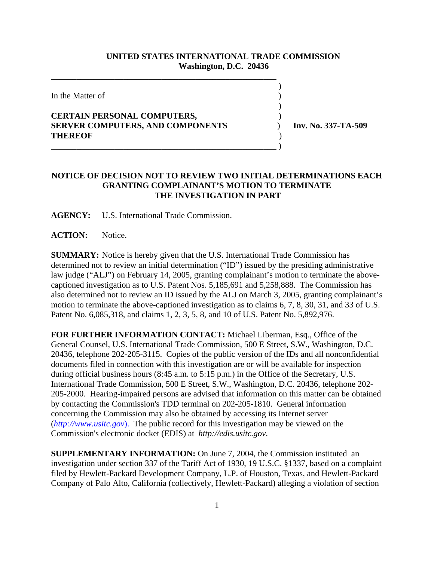## **UNITED STATES INTERNATIONAL TRADE COMMISSION Washington, D.C. 20436**

 $\overline{\phantom{a}}$ 

 $\overline{\phantom{a}}$ 

In the Matter of )

## **CERTAIN PERSONAL COMPUTERS,** ) **SERVER COMPUTERS, AND COMPONENTS** ) **Inv. No. 337-TA-509 THEREOF** )

\_\_\_\_\_\_\_\_\_\_\_\_\_\_\_\_\_\_\_\_\_\_\_\_\_\_\_\_\_\_\_\_\_\_\_\_\_\_\_\_\_\_\_\_\_\_\_\_\_\_\_\_\_

\_\_\_\_\_\_\_\_\_\_\_\_\_\_\_\_\_\_\_\_\_\_\_\_\_\_\_\_\_\_\_\_\_\_\_\_\_\_\_\_\_\_\_\_\_\_\_\_\_\_\_\_\_ )

## **NOTICE OF DECISION NOT TO REVIEW TWO INITIAL DETERMINATIONS EACH GRANTING COMPLAINANT'S MOTION TO TERMINATE THE INVESTIGATION IN PART**

**AGENCY:** U.S. International Trade Commission.

**ACTION:** Notice.

**SUMMARY:** Notice is hereby given that the U.S. International Trade Commission has determined not to review an initial determination ("ID") issued by the presiding administrative law judge ("ALJ") on February 14, 2005, granting complainant's motion to terminate the abovecaptioned investigation as to U.S. Patent Nos. 5,185,691 and 5,258,888. The Commission has also determined not to review an ID issued by the ALJ on March 3, 2005, granting complainant's motion to terminate the above-captioned investigation as to claims 6, 7, 8, 30, 31, and 33 of U.S. Patent No. 6,085,318, and claims 1, 2, 3, 5, 8, and 10 of U.S. Patent No. 5,892,976.

**FOR FURTHER INFORMATION CONTACT:** Michael Liberman, Esq., Office of the General Counsel, U.S. International Trade Commission, 500 E Street, S.W., Washington, D.C. 20436, telephone 202-205-3115. Copies of the public version of the IDs and all nonconfidential documents filed in connection with this investigation are or will be available for inspection during official business hours (8:45 a.m. to 5:15 p.m.) in the Office of the Secretary, U.S. International Trade Commission, 500 E Street, S.W., Washington, D.C. 20436, telephone 202- 205-2000. Hearing-impaired persons are advised that information on this matter can be obtained by contacting the Commission's TDD terminal on 202-205-1810. General information concerning the Commission may also be obtained by accessing its Internet server (*http://www.usitc.gov*). The public record for this investigation may be viewed on the Commission's electronic docket (EDIS) at *http://edis.usitc.gov*.

**SUPPLEMENTARY INFORMATION:** On June 7, 2004, the Commission instituted an investigation under section 337 of the Tariff Act of 1930, 19 U.S.C. §1337, based on a complaint filed by Hewlett-Packard Development Company, L.P. of Houston, Texas, and Hewlett-Packard Company of Palo Alto, California (collectively, Hewlett-Packard) alleging a violation of section